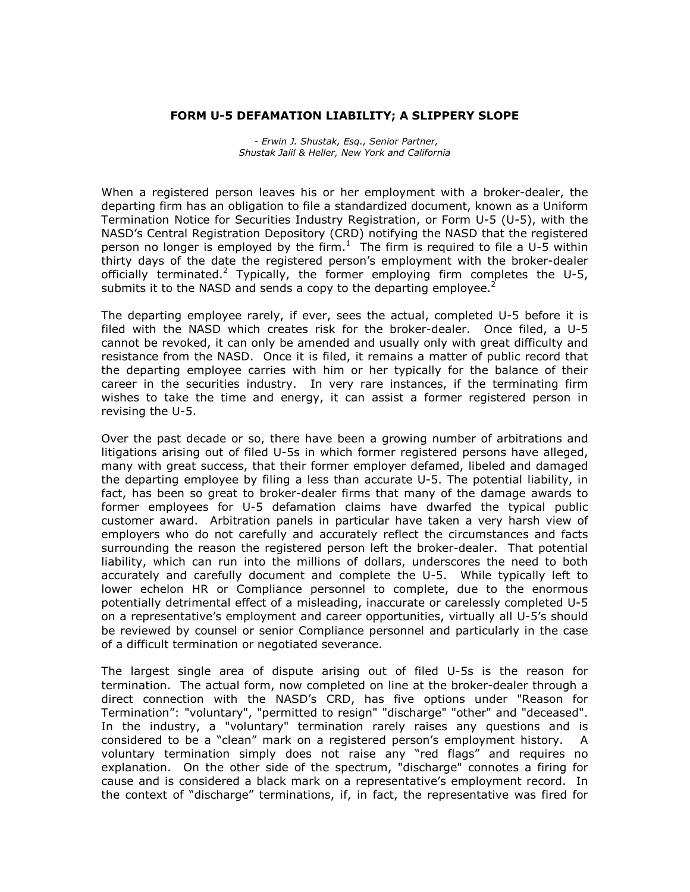## **FORM U-5 DEFAMATION LIABILITY; A SLIPPERY SLOPE**

*- Erwin J. Shustak, Esq., Senior Partner, Shustak Jalil & Heller, New York and California*

When a registered person leaves his or her employment with a broker-dealer, the departing firm has an obligation to file a standardized document, known as a Uniform Termination Notice for Securities Industry Registration, or Form U-5 (U-5), with the NASDís Central Registration Depository (CRD) notifying the NASD that the registered person no longer is employed by the firm.<sup>1</sup> The firm is required to file a U-5 within thirty days of the date the registered person's employment with the broker-dealer officially terminated.<sup>2</sup> Typically, the former employing firm completes the U-5, submits it to the NASD and sends a copy to the departing employee. $2$ 

The departing employee rarely, if ever, sees the actual, completed U-5 before it is filed with the NASD which creates risk for the broker-dealer. Once filed, a U-5 cannot be revoked, it can only be amended and usually only with great difficulty and resistance from the NASD. Once it is filed, it remains a matter of public record that the departing employee carries with him or her typically for the balance of their career in the securities industry. In very rare instances, if the terminating firm wishes to take the time and energy, it can assist a former registered person in revising the U-5.

Over the past decade or so, there have been a growing number of arbitrations and litigations arising out of filed U-5s in which former registered persons have alleged, many with great success, that their former employer defamed, libeled and damaged the departing employee by filing a less than accurate U-5. The potential liability, in fact, has been so great to broker-dealer firms that many of the damage awards to former employees for U-5 defamation claims have dwarfed the typical public customer award. Arbitration panels in particular have taken a very harsh view of employers who do not carefully and accurately reflect the circumstances and facts surrounding the reason the registered person left the broker-dealer. That potential liability, which can run into the millions of dollars, underscores the need to both accurately and carefully document and complete the U-5. While typically left to lower echelon HR or Compliance personnel to complete, due to the enormous potentially detrimental effect of a misleading, inaccurate or carelessly completed U-5 on a representativeís employment and career opportunities, virtually all U-5ís should be reviewed by counsel or senior Compliance personnel and particularly in the case of a difficult termination or negotiated severance.

The largest single area of dispute arising out of filed U-5s is the reason for termination. The actual form, now completed on line at the broker-dealer through a direct connection with the NASDís CRD, has five options under "Reason for Termination": "voluntary", "permitted to resign" "discharge" "other" and "deceased". In the industry, a "voluntary" termination rarely raises any questions and is considered to be a "clean" mark on a registered person's employment history. A voluntary termination simply does not raise any "red flags" and requires no explanation. On the other side of the spectrum, "discharge" connotes a firing for cause and is considered a black mark on a representative's employment record. In the context of "discharge" terminations, if, in fact, the representative was fired for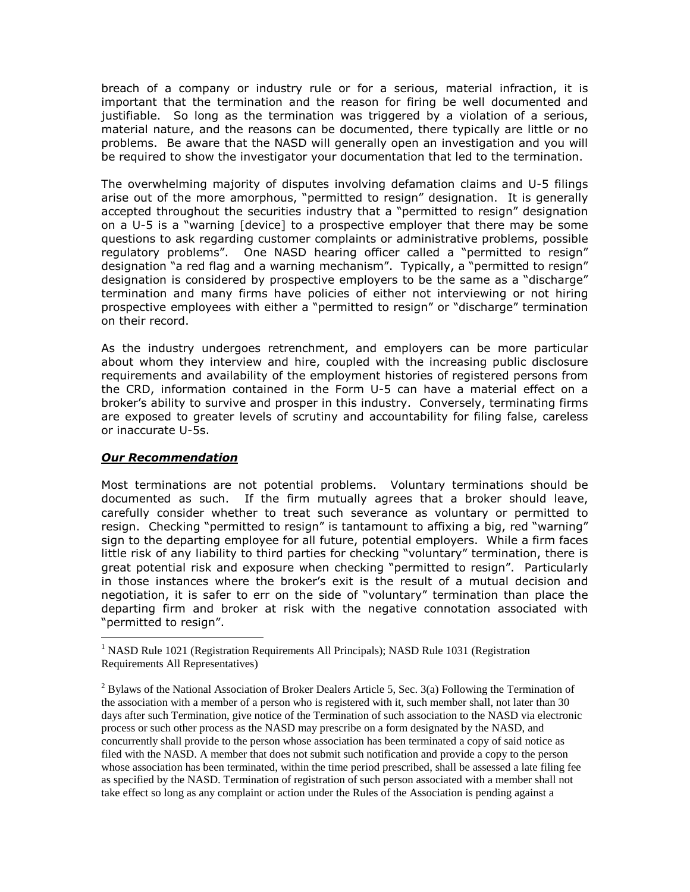breach of a company or industry rule or for a serious, material infraction, it is important that the termination and the reason for firing be well documented and justifiable. So long as the termination was triggered by a violation of a serious, material nature, and the reasons can be documented, there typically are little or no problems. Be aware that the NASD will generally open an investigation and you will be required to show the investigator your documentation that led to the termination.

The overwhelming majority of disputes involving defamation claims and U-5 filings arise out of the more amorphous, "permitted to resign" designation. It is generally accepted throughout the securities industry that a "permitted to resign" designation on a  $U-5$  is a "warning  $\lceil$  device $\rceil$  to a prospective employer that there may be some questions to ask regarding customer complaints or administrative problems, possible regulatory problems". One NASD hearing officer called a "permitted to resign" designation "a red flag and a warning mechanism". Typically, a "permitted to resign" designation is considered by prospective employers to be the same as a "discharge" termination and many firms have policies of either not interviewing or not hiring prospective employees with either a "permitted to resign" or "discharge" termination on their record.

As the industry undergoes retrenchment, and employers can be more particular about whom they interview and hire, coupled with the increasing public disclosure requirements and availability of the employment histories of registered persons from the CRD, information contained in the Form U-5can have a material effect on a brokerís ability to survive and prosper in this industry. Conversely, terminating firms are exposed to greater levels of scrutiny and accountability for filing false, careless or inaccurate U-5s.

## *Our Recommendation*

Most terminations are not potential problems. Voluntary terminations should be documented as such. If the firm mutually agrees that a broker should leave, carefully consider whether to treat such severance as voluntary or permitted to resign. Checking "permitted to resign" is tantamount to affixing a big, red "warning" sign to the departing employee for all future, potential employers. While a firm faces little risk of any liability to third parties for checking "voluntary" termination, there is great potential risk and exposure when checking "permitted to resign". Particularly in those instances where the brokerís exit is the result of a mutual decision and negotiation, it is safer to err on the side of "voluntary" termination than place the departing firm and broker at risk with the negative connotation associated with "permitted to resign".

<sup>&</sup>lt;sup>1</sup> NASD Rule 1021 (Registration Requirements All Principals); NASD Rule 1031 (Registration Requirements All Representatives)

 $2$  Bylaws of the National Association of Broker Dealers Article 5, Sec. 3(a) Following the Termination of the association with a member of a person who is registered with it, such member shall, not later than 30 days after such Termination, give notice of the Termination of such association to the NASD via electronic process or such other process as the NASD may prescribe on a form designated by the NASD, and concurrently shall provide to the person whose association has been terminated a copy of said notice as filed with the NASD. A member that does not submit such notification and provide a copy to the person whose association has been terminated, within the time period prescribed, shall be assessed a late filing fee as specified by the NASD. Termination of registration of such person associated with a member shall not take effect so long as any complaint or action under the Rules of the Association is pending against a